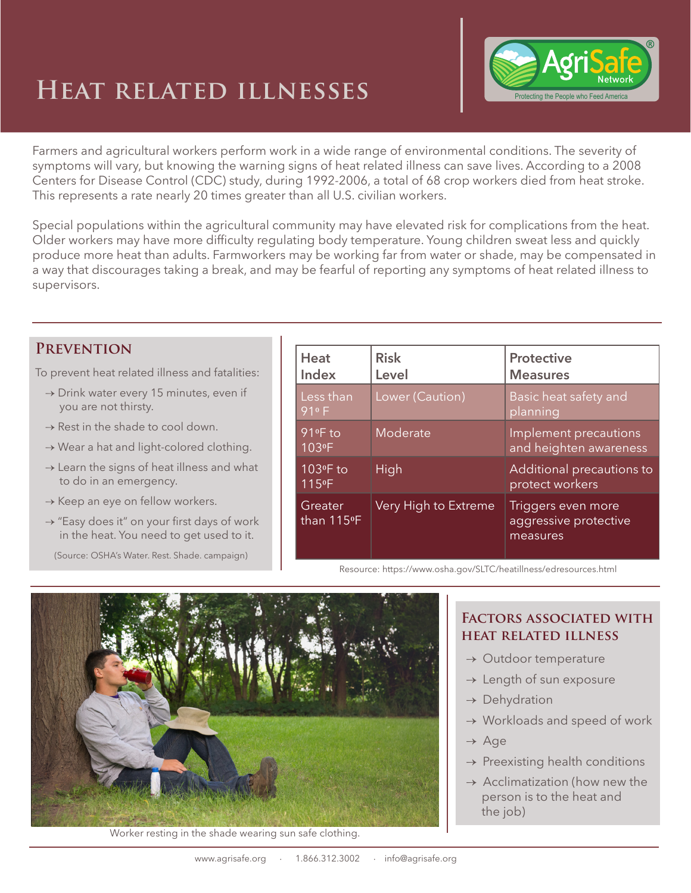## **Heat related illnesses**



Farmers and agricultural workers perform work in a wide range of environmental conditions. The severity of symptoms will vary, but knowing the warning signs of heat related illness can save lives. According to a 2008 Centers for Disease Control (CDC) study, during 1992-2006, a total of 68 crop workers died from heat stroke. This represents a rate nearly 20 times greater than all U.S. civilian workers.

Special populations within the agricultural community may have elevated risk for complications from the heat. Older workers may have more difficulty regulating body temperature. Young children sweat less and quickly produce more heat than adults. Farmworkers may be working far from water or shade, may be compensated in a way that discourages taking a break, and may be fearful of reporting any symptoms of heat related illness to supervisors.

## **Prevention**

To prevent heat related illness and fatalities:

- $\rightarrow$  Drink water every 15 minutes, even if you are not thirsty.
- $\rightarrow$  Rest in the shade to cool down.
- → Wear a hat and light-colored clothing.
- $\rightarrow$  Learn the signs of heat illness and what to do in an emergency.
- $\rightarrow$  Keep an eye on fellow workers.
- → "Easy does it" on your first days of work in the heat. You need to get used to it.

(Source: OSHA's Water. Rest. Shade. campaign)

| Heat<br>Index                  | <b>Risk</b><br>Level | <b>Protective</b><br><b>Measures</b>                    |  |
|--------------------------------|----------------------|---------------------------------------------------------|--|
| Less than<br>91 <sup>0</sup> F | Lower (Caution)      | Basic heat safety and<br>planning                       |  |
| 91ºF to<br>103ºF               | Moderate             | Implement precautions<br>and heighten awareness         |  |
| 103ºF to<br>115 <sup>°</sup> F | High                 | Additional precautions to<br>protect workers            |  |
| Greater<br>than 115°F          | Very High to Extreme | Triggers even more<br>aggressive protective<br>measures |  |

Resource: https://www.osha.gov/SLTC/heatillness/edresources.html



Worker resting in the shade wearing sun safe clothing.

## **Factors associated with heat related illness**

- $\rightarrow$  Outdoor temperature
- $\rightarrow$  Length of sun exposure
- $\rightarrow$  Dehydration
- $\rightarrow$  Workloads and speed of work
- → Age
- $\rightarrow$  Preexisting health conditions
- $\rightarrow$  Acclimatization (how new the person is to the heat and the job)